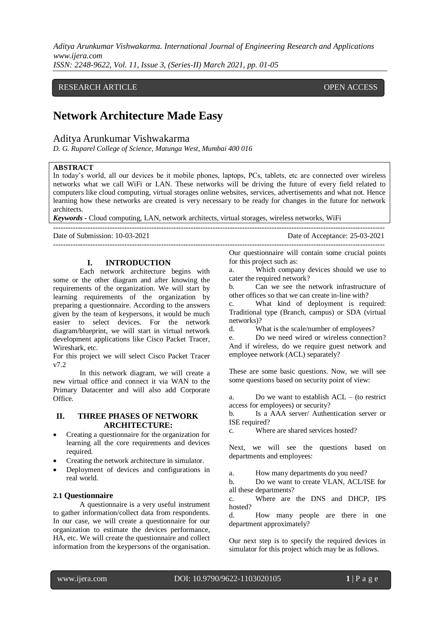*Aditya Arunkumar Vishwakarma. International Journal of Engineering Research and Applications www.ijera.com*

*ISSN: 2248-9622, Vol. 11, Issue 3, (Series-II) March 2021, pp. 01-05*

# RESEARCH ARTICLE **CONSERVERS** OPEN ACCESS

# **Network Architecture Made Easy**

# Aditya Arunkumar Vishwakarma

*D. G. Ruparel College of Science, Matunga West, Mumbai 400 016*

#### **ABSTRACT**

In today's world, all our devices be it mobile phones, laptops, PCs, tablets, etc are connected over wireless networks what we call WiFi or LAN. These networks will be driving the future of every field related to computers like cloud computing, virtual storages online websites, services, advertisements and what not. Hence learning how these networks are created is very necessary to be ready for changes in the future for network architects.

---------------------------------------------------------------------------------------------------------------------------------------

---------------------------------------------------------------------------------------------------------------------------------------

*Keywords* **-** Cloud computing, LAN, network architects, virtual storages, wireless networks, WiFi

Date of Submission: 10-03-2021 Date of Acceptance: 25-03-2021

#### **I. INTRODUCTION**

Each network architecture begins with some or the other diagram and after knowing the requirements of the organization. We will start by learning requirements of the organization by preparing a questionnaire. According to the answers given by the team of keypersons, it would be much easier to select devices. For the network diagram/blueprint, we will start in virtual network development applications like Cisco Packet Tracer, Wireshark, etc.

For this project we will select Cisco Packet Tracer v7.2

In this network diagram, we will create a new virtual office and connect it via WAN to the Primary Datacenter and will also add Corporate Office.

# **II. THREE PHASES OF NETWORK ARCHITECTURE:**

- Creating a questionnaire for the organization for learning all the core requirements and devices required.
- Creating the network architecture in simulator.
- Deployment of devices and configurations in real world.

#### **2.1 Questionnaire**

A questionnaire is a very useful instrument to gather information/collect data from respondents. In our case, we will create a questionnaire for our organization to estimate the devices performance, HA, etc. We will create the questionnaire and collect information from the keypersons of the organisation.

Our questionnaire will contain some crucial points for this project such as:

a. Which company devices should we use to cater the required network?

b. Can we see the network infrastructure of other offices so that we can create in-line with?

c. What kind of deployment is required: Traditional type (Branch, campus) or SDA (virtual networks)?

d. What is the scale/number of employees?

e. Do we need wired or wireless connection? And if wireless, do we require guest network and employee network (ACL) separately?

These are some basic questions. Now, we will see some questions based on security point of view:

a. Do we want to establish ACL – (to restrict access for employees) or security?

b. Is a AAA server/ Authentication server or ISE required?

c. Where are shared services hosted?

Next, we will see the questions based on departments and employees:

a. How many departments do you need?

b. Do we want to create VLAN, ACL/ISE for all these departments?

c. Where are the DNS and DHCP, IPS hosted?

d. How many people are there in one department approximately?

Our next step is to specify the required devices in simulator for this project which may be as follows.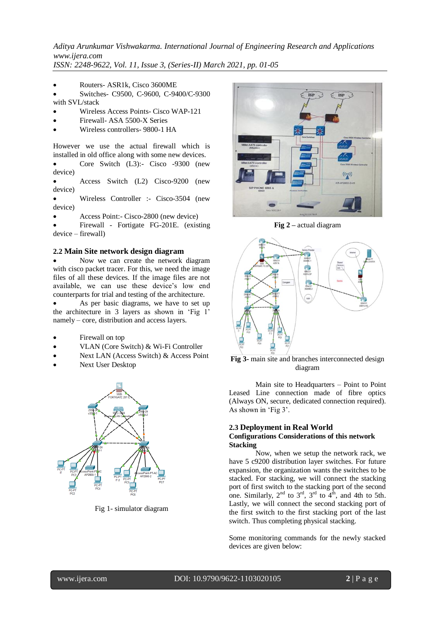*Aditya Arunkumar Vishwakarma. International Journal of Engineering Research and Applications www.ijera.com*

*ISSN: 2248-9622, Vol. 11, Issue 3, (Series-II) March 2021, pp. 01-05*

Routers- ASR1k, Cisco 3600ME

 Switches- C9500, C-9600, C-9400/C-9300 with SVL/stack

- Wireless Access Points- Cisco WAP-121
- Firewall- ASA 5500-X Series
- Wireless controllers- 9800-1 HA

However we use the actual firewall which is installed in old office along with some new devices.

 Core Switch (L3):- Cisco -9300 (new device)

 Access Switch (L2) Cisco-9200 (new device)

 Wireless Controller :- Cisco-3504 (new device)

Access Point:- Cisco-2800 (new device)

 Firewall - Fortigate FG-201E. (existing device – firewall)

# **2.2 Main Site network design diagram**

 Now we can create the network diagram with cisco packet tracer. For this, we need the image files of all these devices. If the image files are not available, we can use these device's low end counterparts for trial and testing of the architecture.

 As per basic diagrams, we have to set up the architecture in 3 layers as shown in 'Fig 1' namely – core, distribution and access layers.

- Firewall on top
- VLAN (Core Switch) & Wi-Fi Controller
- Next LAN (Access Switch) & Access Point
- Next User Desktop



Fig 1- simulator diagram



**Fig 2 –** actual diagram



**Fig 3-** main site and branches interconnected design diagram

Main site to Headquarters – Point to Point Leased Line connection made of fibre optics (Always ON, secure, dedicated connection required). As shown in 'Fig 3'.

#### **2.3 Deployment in Real World Configurations Considerations of this network Stacking**

Now, when we setup the network rack, we have 5 c9200 distribution layer switches. For future expansion, the organization wants the switches to be stacked. For stacking, we will connect the stacking port of first switch to the stacking port of the second one. Similarly,  $2<sup>nd</sup>$  to  $3<sup>rd</sup>$ ,  $3<sup>rd</sup>$  to  $4<sup>th</sup>$ , and 4th to 5th. Lastly, we will connect the second stacking port of the first switch to the first stacking port of the last switch. Thus completing physical stacking.

Some monitoring commands for the newly stacked devices are given below: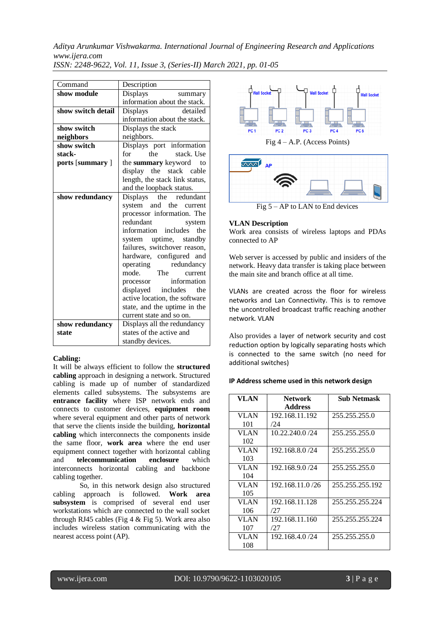*Aditya Arunkumar Vishwakarma. International Journal of Engineering Research and Applications www.ijera.com*

| Command            | Description                               |  |
|--------------------|-------------------------------------------|--|
| show module        | <b>Displays</b><br>summary                |  |
|                    | information about the stack.              |  |
| show switch detail | detailed<br>Displays                      |  |
|                    | information about the stack.              |  |
| show switch        | Displays the stack                        |  |
| neighbors          | neighbors.                                |  |
| show switch        | Displays port information                 |  |
| stack-             | the<br>stack. Use<br>for                  |  |
| ports [summary ]   | the summary keyword to                    |  |
|                    | display the stack cable                   |  |
|                    | length, the stack link status,            |  |
|                    | and the loopback status.                  |  |
| show redundancy    | Displays the redundant                    |  |
|                    | system and the current                    |  |
|                    | processor information. The                |  |
|                    | redundant<br>system                       |  |
|                    | information includes the                  |  |
|                    | system uptime, standby                    |  |
|                    | failures, switchover reason,              |  |
|                    | hardware, configured and                  |  |
|                    | operating redundancy<br>mode. The current |  |
|                    |                                           |  |
|                    | processor information                     |  |
|                    | displayed includes the                    |  |
|                    | active location, the software             |  |
|                    | state, and the uptime in the              |  |
|                    | current state and so on.                  |  |
| show redundancy    | Displays all the redundancy               |  |
| state              | states of the active and                  |  |
|                    | standby devices.                          |  |

*ISSN: 2248-9622, Vol. 11, Issue 3, (Series-II) March 2021, pp. 01-05*

#### **Cabling:**

It will be always efficient to follow the **structured cabling** approach in designing a network. Structured cabling is made up of number of standardized elements called subsystems. The subsystems are **entrance facility** where ISP network ends and connects to customer devices, **equipment room**  where several equipment and other parts of network that serve the clients inside the building, **horizontal cabling** which interconnects the components inside the same floor, **work area** where the end user equipment connect together with horizontal cabling and **telecommunication enclosure** which interconnects horizontal cabling and backbone cabling together.

So, in this network design also structured cabling approach is followed. **Work area subsystem** is comprised of several end user workstations which are connected to the wall socket through RJ45 cables (Fig 4 & Fig 5). Work area also includes wireless station communicating with the nearest access point (AP).



Fig 5 – AP to LAN to End devices

#### **VLAN Description**

Work area consists of wireless laptops and PDAs connected to AP

Web server is accessed by public and insiders of the network. Heavy data transfer is taking place between the main site and branch office at all time.

VLANs are created across the floor for wireless networks and Lan Connectivity. This is to remove the uncontrolled broadcast traffic reaching another network. VLAN

Also provides a layer of network security and cost reduction option by logically separating hosts which is connected to the same switch (no need for additional switches)

| VLAN | <b>Network</b>  | <b>Sub Netmask</b> |
|------|-----------------|--------------------|
|      | <b>Address</b>  |                    |
| VLAN | 192.168.11.192  | 255.255.255.0      |
| 101  | /24             |                    |
| VLAN | 10.22.240.0/24  | 255.255.255.0      |
| 102  |                 |                    |
| VLAN | 192.168.8.0/24  | 255.255.255.0      |
| 103  |                 |                    |
| VLAN | 192.168.9.0/24  | 255.255.255.0      |
| 104  |                 |                    |
| VLAN | 192.168.11.0/26 | 255.255.255.192    |
| 105  |                 |                    |
| VLAN | 192.168.11.128  | 255.255.255.224    |
| 106  | /27             |                    |
| VLAN | 192.168.11.160  | 255.255.255.224    |
| 107  | /27             |                    |
| VLAN | 192.168.4.0/24  | 255.255.255.0      |
| 108  |                 |                    |

#### **IP Address scheme used in this network design**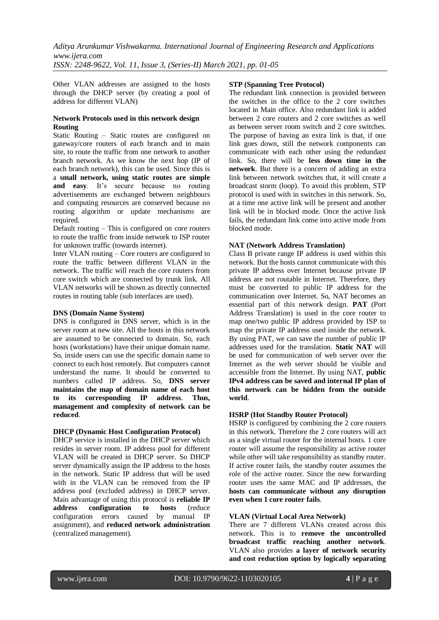Other VLAN addresses are assigned to the hosts through the DHCP server (by creating a pool of address for different VLAN)

## **Network Protocols used in this network design Routing**

Static Routing – Static routes are configured on gateway/core routers of each branch and in main site, to route the traffic from one network to another branch network. As we know the next hop (IP of each branch network), this can be used. Since this is a **small network, using static routes are simple and easy**. It's secure because no routing advertisements are exchanged between neighbours and computing resources are conserved because no routing algorithm or update mechanisms are required.

Default routing – This is configured on core routers to route the traffic from inside network to ISP router for unknown traffic (towards internet).

Inter VLAN routing – Core routers are configured to route the traffic between different VLAN in the network. The traffic will reach the core routers from core switch which are connected by trunk link. All VLAN networks will be shown as directly connected routes in routing table (sub interfaces are used).

#### **DNS (Domain Name System)**

DNS is configured in DNS server, which is in the server room at new site. All the hosts in this network are assumed to be connected to domain. So, each hosts (workstations) have their unique domain name. So, inside users can use the specific domain name to connect to each host remotely. But computers cannot understand the name. It should be converted to numbers called IP address. So, **DNS server maintains the map of domain name of each host to its corresponding IP address**. **Thus, management and complexity of network can be reduced**.

# **DHCP (Dynamic Host Configuration Protocol)**

DHCP service is installed in the DHCP server which resides in server room. IP address pool for different VLAN will be created in DHCP server. So DHCP server dynamically assign the IP address to the hosts in the network. Static IP address that will be used with in the VLAN can be removed from the IP address pool (excluded address) in DHCP server. Main advantage of using this protocol is **reliable IP address configuration to hosts** (reduce configuration errors caused by manual IP assignment), and **reduced network administration**  (centralized management).

# **STP (Spanning Tree Protocol)**

The redundant link connection is provided between the switches in the office to the 2 core switches located in Main office. Also redundant link is added between 2 core routers and 2 core switches as well as between server room switch and 2 core switches. The purpose of having an extra link is that, if one link goes down, still the network components can communicate with each other using the redundant link. So, there will be **less down time in the network**. But there is a concern of adding an extra link between network switches that, it will create a broadcast storm (loop). To avoid this problem, STP protocol is used with in switches in this network. So, at a time one active link will be present and another link will be in blocked mode. Once the active link fails, the redundant link come into active mode from blocked mode.

# **NAT (Network Address Translation)**

Class B private range IP address is used within this network. But the hosts cannot communicate with this private IP address over Internet because private IP address are not routable in Internet. Therefore, they must be converted to public IP address for the communication over Internet. So, NAT becomes an essential part of this network design. **PAT** (Port Address Translation) is used in the core router to map one/two public IP address provided by ISP to map the private IP address used inside the network. By using PAT, we can save the number of public IP addresses used for the translation. **Static NAT** will be used for communication of web server over the Internet as the web server should be visible and accessible from the Internet. By using NAT, **public IPv4 address can be saved and internal IP plan of this network can be hidden from the outside world**.

#### **HSRP (Hot Standby Router Protocol)**

HSRP is configured by combining the 2 core routers in this network. Therefore the 2 core routers will act as a single virtual router for the internal hosts. 1 core router will assume the responsibility as active router while other will take responsibility as standby router. If active router fails, the standby router assumes the role of the active router. Since the new forwarding router uses the same MAC and IP addresses, the **hosts can communicate without any disruption even when 1 core router fails**.

#### **VLAN (Virtual Local Area Network)**

There are 7 different VLANs created across this network. This is to **remove the uncontrolled broadcast traffic reaching another network**. VLAN also provides **a layer of network security and cost reduction option by logically separating**